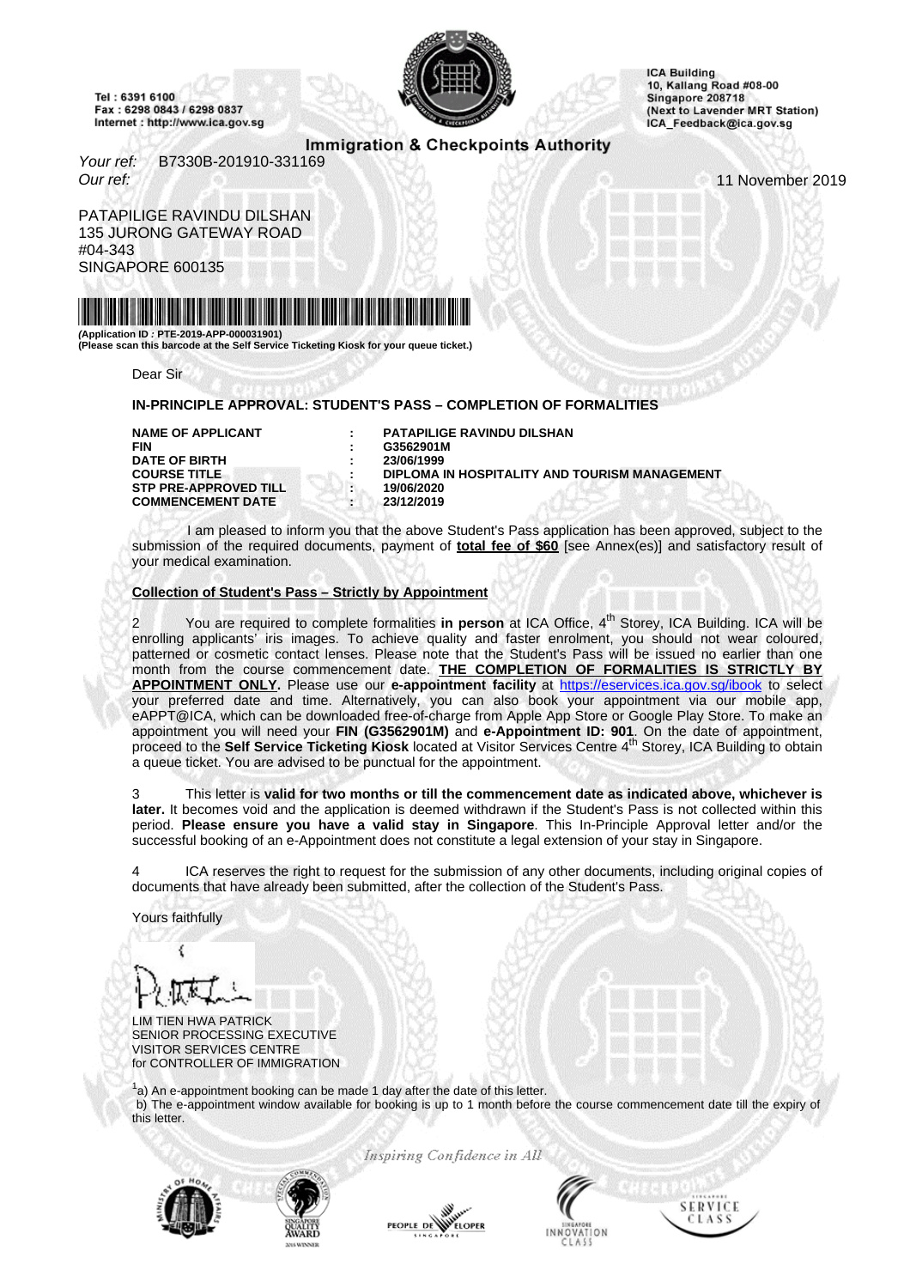<span id="page-0-0"></span>Tel: 6391 6100 Fax: 6298 0843 / 6298 0837 Internet : http://www.ica.gov.sg



**ICA Building** 10, Kallang Road #08-00 Singapore 208718 (Next to Lavender MRT Station) ICA\_Feedback@ica.gov.sg

# Immigration & Checkpoints Authority

Your ref: B7330B-201910-331169 Our ref: 11 November 2019

PATAPILIGE RAVINDU DILSHAN 135 JURONG GATEWAY ROAD #04-343 SINGAPORE 600135



**(Application ID : PTE-2019-APP-000031901) (Please scan this barcode at the Self Service Ticketing Kiosk for your queue ticket.)**

Dear Sir

### **IN-PRINCIPLE APPROVAL: STUDENT'S PASS – COMPLETION OF FORMALITIES**

**DATE OF BIRTH STP PRE-APPROVED TILL : 19/06/2020 COMMENCEMENT DATE : 23/12/2019**

**NAME OF APPLICANT : PATAPILIGE RAVINDU DILSHAN** G3562901M<br>23/06/1999 **COURSE TITLE : DIPLOMA IN HOSPITALITY AND TOURISM MANAGEMENT** 

I am pleased to inform you that the above Student's Pass application has been approved, subject to the submission of the required documents, payment of **total fee of \$60** [see Annex(es)] and satisfactory result of your medical examination.

### **Collection of Student's Pass – Strictly by Appointment**

You are required to complete formalities in person at ICA Office, 4<sup>th</sup> Storey, ICA Building. ICA will be enrolling applicants' iris images. To achieve quality and faster enrolment, you should not wear coloured, patterned or cosmetic contact lenses. Please note that the Student's Pass will be issued no earlier than one month from the course commencement date. **THE COMPLETION OF FORMALITIES IS STRICTLY BY APPOINTMENT ONLY.** Please use our **e-appointment facility** at http[s://eservices.ica.gov.sg/ibook](https://eservices.ica.gov.sg/ibook) to select your preferred date and time. Alternatively, you can also book your appointment via our mobile app, eAPPT@ICA, which can be downloaded free-of-charge from Apple App Store or Google Play Store. To make an appointment you will need your FIN (G3562901M) and e-Appointment ID: 901. On the date of appointment,<br>proceed to the Self Service Ticketing Kiosk located at Visitor Services Centre 4<sup>th</sup> Storey, ICA Building to obtain a queue ticket. You are advised to be punctual for the appointment.

3 This letter is **valid for two months or till the commencement date as indicated above, whichever is later.** It becomes void and the application is deemed withdrawn if the Student's Pass is not collected within this period. **Please ensure you have a valid stay in Singapore**. This In-Principle Approval letter and/or the successful booking of an e-Appointment does not constitute a legal extension of your stay in Singapore.

4 ICA reserves the right to request for the submission of any other documents, including original copies of documents that have already been submitted, after the collection of the Student's Pass.

Yours faithfully

LIM TIEN HWA PATRICK SENIOR PROCESSING EXECUTIVE VISITOR SERVICES CENTRE for CONTROLLER OF IMMIGRATION

 $1a$ ) An e-appointment booking can be made 1 day after the date of this letter. b) The e-appointment window available for booking is up to 1 month before the course commencement date till the expiry of this letter.

Inspiring Confidence in All





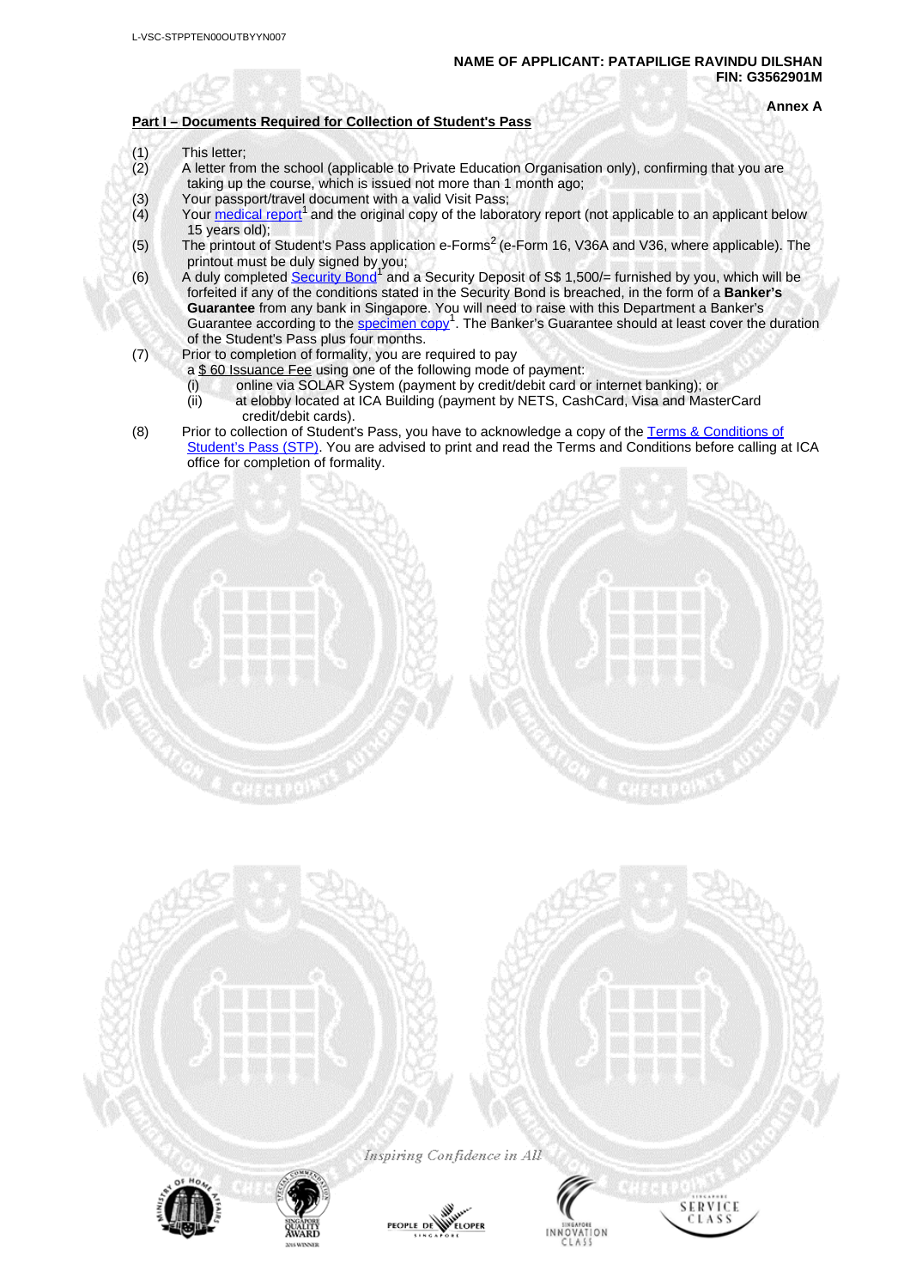### **Part I – Documents Required for Collection of Student's Pass**

**Annex A**

- 
- (1) This letter;<br>(2) A letter from A letter from the school (applicable to Private Education Organisation only), confirming that you are taking up the course, which is issued not more than 1 month ago;
- (3) Your passport/travel document with a valid Visit Pass;<br>(4) Your medical report<sup>1</sup> and the original copy of the labor
- $\dot{a}$  Your [medical](#page-0-0) report<sup>1</sup> and the original copy of the laboratory report (not applicable to an applicant below 15 years old);
- (5) The printout of Student's Pass application e-Forms<sup>2</sup> (e-Form 16, V36A and V36, where applicable). The printout must be duly signed by you;
- (6) A duly completed **[Security](#page-0-0) Bond**<sup>1</sup> and a Security Deposit of S\$ 1,500/= furnished by you, which will be forfeited if any of the conditions stated in the Security Bond is breached, in the form of a **Banker's Guarantee** from any bank in Singapore. You will need to raise with this Department a Banker's Guarantee according to the **[specimen](#page-0-0) copy<sup>1</sup>**. The Banker's Guarantee should at least cover the duration of the Student's Pass plus four months.
- (7) Prior to completion of formality, you are required to pay
	- a \$ 60 Issuance Fee using one of the following mode of payment:
	- (i) online via SOLAR System (payment by credit/debit card or internet banking); or
	- (ii) at elobby located at ICA Building (payment by NETS, CashCard, Visa and MasterCard credit/debit cards).
- (8) Prior to collection of Student's Pass, you have to acknowledge a copy of the Terms & [Conditions](#page-0-0) of [Student's](#page-0-0) Pass (STP). You are advised to print and read the Terms and Conditions before calling at ICA office for completion of formality.





Inspiring Confidence in All